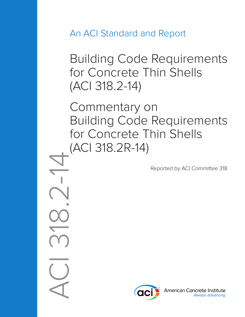An ACI Standard and Report

Building Code Requirements for Concrete Thin Shells (ACI 318.2-14)

Commentary on Building Code Requirements for Concrete Thin Shells (ACI 318.2R-14)

Reported by ACI Committee 318



ACI 318.2-14

**American Concrete Institute** Always advancing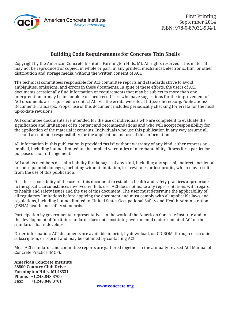

# **Building Code Requirements for Concrete Thin Shells**

Copyright by the American Concrete Institute, Farmington Hills, MI. All rights reserved. This material may not be reproduced or copied, in whole or part, in any printed, mechanical, electronic, film, or other distribution and storage media, without the written consent of ACI.

The technical committees responsible for ACI committee reports and standards strive to avoid ambiguities, omissions, and errors in these documents. In spite of these efforts, the users of ACI documents occasionally find information or requirements that may be subject to more than one interpretation or may be incomplete or incorrect. Users who have suggestions for the improvement of ACI documents are requested to contact ACI via the errata website at http://concrete.org/Publications/ DocumentErrata.aspx. Proper use of this document includes periodically checking for errata for the most up-to-date revisions.

ACI committee documents are intended for the use of individuals who are competent to evaluate the significance and limitations of its content and recommendations and who will accept responsibility for the application of the material it contains. Individuals who use this publication in any way assume all risk and accept total responsibility for the application and use of this information.

All information in this publication is provided "as is" without warranty of any kind, either express or implied, including but not limited to, the implied warranties of merchantability, fitness for a particular purpose or non-infringement.

ACI and its members disclaim liability for damages of any kind, including any special, indirect, incidental, or consequential damages, including without limitation, lost revenues or lost profits, which may result from the use of this publication.

It is the responsibility of the user of this document to establish health and safety practices appropriate to the specific circumstances involved with its use. ACI does not make any representations with regard to health and safety issues and the use of this document. The user must determine the applicability of all regulatory limitations before applying the document and must comply with all applicable laws and regulations, including but not limited to, United States Occupational Safety and Health Administration (OSHA) health and safety standards.

Participation by governmental representatives in the work of the American Concrete Institute and in the development of Institute standards does not constitute governmental endorsement of ACI or the standards that it develops.

Order information: ACI documents are available in print, by download, on CD-ROM, through electronic subscription, or reprint and may be obtained by contacting ACI.

Most ACI standards and committee reports are gathered together in the annually revised ACI Manual of Concrete Practice (MCP).

**American Concrete Institute 38800 Country Club Drive Farmington Hills, MI 48331 Phone: +1.248.848.3700 Fax: +1.248.848.3701**

**[www.concrete.org](http://concrete.org)**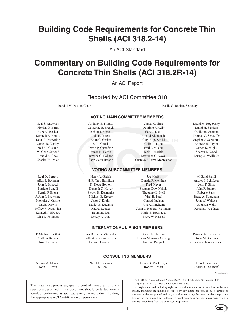# **Building Code Requirements for Concrete Thin Shells (ACI 318.2-14)**

An ACI Standard

# **Commentary on Building Code Requirements for Concrete Thin Shells (ACI 318.2R-14)**

An ACI Report

# Reported by ACI Committee 318

Randall W. Poston, Chair **Basile G. Rabbat, Secretary** Basile G. Rabbat, Secretary

**VOTING MAIN COMMITTEE MEMBERS**

Neal S. Anderson Florian G. Barth Roger J. Becker Kenneth B. Bondy Dean A. Browning James R. Cagley Ned M. Cleland W. Gene Corley\* Ronald A. Cook Charles W. Dolan

Raul D. Bertero Allan P. Bommer John F. Bonacci Patricio Bonelli Sergio F. Brena JoAnn P. Browning Nicholas J. Carino David Darwin Jeffrey J. Dragovich Kenneth J. Elwood Lisa R. Feldman

F. Michael Bartlett Mathias Brewer Josef Farbiarz

Anthony E. Fiorato Catherine E. French Robert J. Frosch Luis E. Garcia Brian C. Gerber S. K. Ghosh David P. Gustafson James R. Harris Terence C. Holland Shyh-Jiann Hwang

# **VOTING SUBCOMMITTEE MEMBERS**

Harry A. Gleich H. R. Trey Hamilton R. Doug Hooton Kenneth C. Hover Steven H. Kosmatka Michael E. Kreger Jason J. Krohn Daniel A. Kuchma Andres Lepage Raymond Lui LeRoy A. Lutz

Joe Maffei Donald F. Meinheit Fred Meyer Suzanne Dow Nakaki Theodore L. Neff Viral B. Patel Conrad Paulson Jose A. Pincheira Carin L. Roberts-Wollmann Mario E. Rodríguez

James O. Jirsa Dominic J. Kelly Gary J. Klein Ronald Klemencic Cary Kopczynski Colin L. Lobo Paul F. Mlakar Jack P. Moehle Lawrence C. Novak Gustavo J. Parra-Montesinos

David M. Rogowsky David H. Sanders Guillermo Santana Thomas C. Schaeffer Stephen J. Seguirant Andrew W. Taylor James K. Wight Sharon L. Wood Loring A. Wyllie Jr.

M. Saiid Saiidi Andrea J. Schokker John F. Silva John F. Stanton Roberto Stark Bruce A. Suprenant John W. Wallace W. Jason Weiss Fernando V. Yáñez

**INTERNATIONAL LIAISON MEMBERS** Angel E. Herrera Hector Monzon-Despang Enrique Pasquel

Bruce W. Russell

Patricio A. Placencia Oscar M. Ramirez Fernando Reboucas Stucchi

# **CONSULTING MEMBERS**

Sergio M. Alcocer John E. Breen

The materials, processes, quality control measures, and inspections described in this document should be tested, monitored, or performed as applicable only by individuals holding

the appropriate ACI Certification or equivalent.

Neil M. Hawkins H. S. Lew

Luis B. Fargier-Gabaldon Alberto Giovambattista Hector Hernandez

> James G. MacGregor Robert F. Mast

Julio A. Ramirez Charles G. Salmon\*

\*Deceased.

ACI 318.2-14 was adopted August 29, 2014 and published September 2014. Copyright © 2014, American Concrete Institute.

All rights reserved including rights of reproduction and use in any form or by any means, including the making of copies by any photo process, or by electronic or mechanical device, printed, written, or oral, or recording for sound or visual reproduction or for use in any knowledge or retrieval system or device, unless permission in writing is obtained from the copyright proprietors.



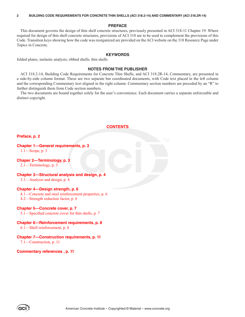# **PREFACE**

This document governs the design of thin shell concrete structures, previously presented in ACI 318-11 Chapter 19. Where required for design of thin shell concrete structures, provisions of ACI 318 are to be used to complement the provisions of this Code. Transition keys showing how the code was reorganized are provided on the ACI website on the 318 Resource Page under Topics in Concrete.

# **KEYWORDS**

folded plates; inelastic analysis; ribbed shells; thin shells

# **NOTES FROM THE PUBLISHER**

ACI 318.2-14, Building Code Requirements for Concrete Thin Shells, and ACI 318.2R-14, Commentary, are presented in a side-by-side column format. These are two separate but coordinated documents, with Code text placed in the left column and the corresponding Commentary text aligned in the right column. Commentary section numbers are preceded by an "R" to further distinguish them from Code section numbers.

The two documents are bound together solely for the user's convenience. Each document carries a separate enforceable and distinct copyright*.*

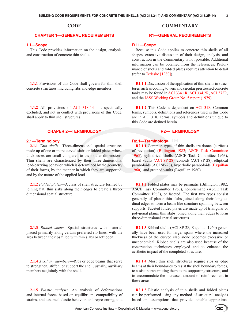# <span id="page-4-0"></span>**[CHAPTER 1—GENERAL REQUIREMENTS](#page-4-1)**

# **[1.1—Scope](#page-4-2)**

This Code provides information on the design, analysis, and construction of concrete thin shells.

<span id="page-4-14"></span>**[1.1.1](#page-4-3)** Provisions of this Code shall govern for thin shell concrete structures, including ribs and edge members.

<span id="page-4-15"></span>**[1.1.2](#page-4-4)** All provisions of [ACI 318-14](#page-12-1) not specifically excluded, and not in conflict with provisions of this Code, shall apply to thin shell structures.

# <span id="page-4-18"></span>**[CHAPER 2—TERMINOLOGY](#page-4-5)**

# **[2.1—Terminology](#page-4-6)**

**[2.1.1](#page-4-7)** *Thin shells*—Three-dimensional spatial structures made up of one or more curved slabs or folded plates whose thicknesses are small compared to their other dimensions. Thin shells are characterized by their three-dimensional load-carrying behavior, which is determined by the geometry of their forms, by the manner in which they are supported, and by the nature of the applied load.

**[2.1.2](#page-4-8)** *Folded plates*—A class of shell structure formed by joining flat, thin slabs along their edges to create a threedimensional spatial structure.

<span id="page-4-19"></span>**[2.1.3](#page-4-9)** *Ribbed shells*—Spatial structures with material placed primarily along certain preferred rib lines, with the area between the ribs filled with thin slabs or left open.

<span id="page-4-20"></span>**[2.1.4](#page-4-10)** *Auxiliary members*—Ribs or edge beams that serve to strengthen, stiffen, or support the shell; usually, auxiliary members act jointly with the shell.

<span id="page-4-21"></span>**[2.1.5](#page-4-11)** *Elastic analysis*—An analysis of deformations and internal forces based on equilibrium, compatibility of strains, and assumed elastic behavior, and representing, to a

# <span id="page-4-13"></span>**CODE COMMENTARY**

# <span id="page-4-12"></span><span id="page-4-2"></span><span id="page-4-1"></span>**[R1—GENERAL REQUIREMENTS](#page-4-12)**

# **[R1.1—Scope](#page-4-13)**

Because this Code applies to concrete thin shells of all shapes, extensive discussion of their design, analysis, and construction in the Commentary is not possible. Additional information can be obtained from the references. Performance of shells and folded plates requires attention to detail (refer to [Tedesko \[1980\]](#page-13-0)).

<span id="page-4-3"></span>**[R1.1.1](#page-4-14)** Discussion of the application of thin shells in structures such as cooling towers and circular prestressed concrete tanks may be found in [ACI 334.1R](#page-12-2), [ACI 334.2R](#page-12-3), [ACI 372R](#page-12-4), and the [IASS Working Group No. 5 report \(1979\).](#page-13-1)

**[R1.1.2](#page-4-15)** This Code is dependent on [ACI 318](#page-12-1). Common terms, symbols, definitions and references used in this Code are in ACI 318. Terms, symbols and definitions unique to this Code are defined herein.

# <span id="page-4-16"></span><span id="page-4-7"></span><span id="page-4-6"></span><span id="page-4-5"></span><span id="page-4-4"></span>**[R2—TERMINOLOGY](#page-4-16)**

# <span id="page-4-17"></span>**[R2.1—Terminology](#page-4-17)**

**[R2.1.1](#page-4-18)** Common types of thin shells are domes (surfaces of revolution) ([Billington 1982](#page-12-5); [ASCE Task Committee](#page-12-6) [1963](#page-12-6)), cylindrical shells (ASCE Task Committee 1963), barrel vaults ([ACI SP-28\)](#page-12-7), conoids (ACI SP-28), elliptical paraboloids (ACI SP-28), hyperbolic paraboloids ([Esquillan](#page-12-8) [1960](#page-12-8)), and groined vaults (Esquillan 1960).

<span id="page-4-8"></span>**[R2.1.2](#page-4-8)** Folded plates may be prismatic (Billington 1982; ASCE Task Committee 1963), nonprismatic (ASCE Task Committee 1963), or faceted. The first two types consist generally of planar thin slabs joined along their longitudinal edges to form a beam-like structure spanning between supports. Faceted folded plates are made up of triangular or polygonal planar thin slabs joined along their edges to form three-dimensional spatial structures.

<span id="page-4-9"></span>**[R2.1.3](#page-4-19)** Ribbed shells (ACI SP-28; Esquillan 1960) generally have been used for larger spans where the increased thickness of the curved slab alone becomes excessive or uneconomical. Ribbed shells are also used because of the construction techniques employed and to enhance the aesthetic impact of the completed structure.

<span id="page-4-10"></span>**[R2.1.4](#page-4-20)** Most thin shell structures require ribs or edge beams at their boundaries to resist the shell boundary forces, to assist in transmitting them to the supporting structure, and to accommodate the increased amount of reinforcement in these areas.

<span id="page-4-11"></span>**[R2.1.5](#page-4-21)** Elastic analysis of thin shells and folded plates can be performed using any method of structural analysis based on assumptions that provide suitable approxima-

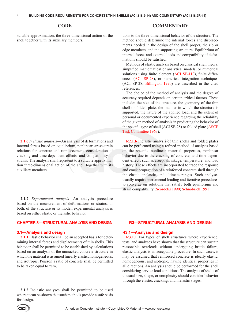<span id="page-5-0"></span>suitable approximation, the three-dimensional action of the shell together with its auxiliary members.

<span id="page-5-5"></span>**[2.1.6](#page-5-1)** *Inelastic analysis*—An analysis of deformations and internal forces based on equilibrium, nonlinear stress-strain relations for concrete and reinforcement, consideration of cracking and time-dependent effects, and compatibility of strains. The analysis shall represent to a suitable approximation three-dimensional action of the shell together with its auxiliary members.

**2.1.7** *Experimental analysis*—An analysis procedure based on the measurement of deformations or strains, or both, of the structure or its model; experimental analysis is based on either elastic or inelastic behavior.

# **[CHAPTER 3—STRUCTURAL ANALYSIS AND DESIGN](#page-5-2)**

# **[3.1—Analysis and design](#page-5-3)**

<span id="page-5-8"></span>**[3.1.1](#page-5-4)** Elastic behavior shall be an accepted basis for determining internal forces and displacements of thin shells. This behavior shall be permitted to be established by calculations based on an analysis of the uncracked concrete structure in which the material is assumed linearly elastic, homogeneous, and isotropic. Poisson's ratio of concrete shall be permitted to be taken equal to zero.

**3.1.2** Inelastic analyses shall be permitted to be used where it can be shown that such methods provide a safe basis for design.

# **CODE COMMENTARY**

tions to the three-dimensional behavior of the structure. The method should determine the internal forces and displacements needed in the design of the shell proper, the rib or edge members, and the supporting structure. Equilibrium of internal forces and external loads and compatibility of deformations should be satisfied.

Methods of elastic analysis based on classical shell theory, simplified mathematical or analytical models, or numerical solutions using finite element ([ACI SP-110](#page-12-9)), finite differences ([ACI SP-28](#page-12-7)), or numerical integration techniques (ACI SP-28; [Billington 1990](#page-12-10)) are described in the cited references.

The choice of the method of analysis and the degree of accuracy required depends on certain critical factors. These include: the size of the structure, the geometry of the thin shell or folded plate, the manner in which the structure is supported, the nature of the applied load, and the extent of personal or documented experience regarding the reliability of the given method of analysis in predicting the behavior of the specific type of shell (ACI SP-28) or folded plate [\(ASCE](#page-12-6)  [Task Committee 1963](#page-12-6)).

<span id="page-5-1"></span>**[R2.1.6](#page-5-5)** Inelastic analysis of thin shells and folded plates can be performed using a refined method of analysis based on the specific nonlinear material properties, nonlinear behavior due to the cracking of concrete, and time-dependent effects such as creep, shrinkage, temperature, and load history. These effects are incorporated to trace the response and crack propagation of a reinforced concrete shell through the elastic, inelastic, and ultimate ranges. Such analyses usually require incremental loading and iterative procedures to converge on solutions that satisfy both equilibrium and strain compatibility ([Scordelis 1990](#page-13-2); [Schnobrich 1991\)](#page-13-3).

# <span id="page-5-6"></span><span id="page-5-4"></span><span id="page-5-3"></span><span id="page-5-2"></span>**[R3—STRUCTURAL ANALYSIS AND DESIGN](#page-5-6)**

### <span id="page-5-7"></span>**[R3.1—Analysis and design](#page-5-7)**

**[R3.1.1](#page-5-8)** For types of shell structures where experience, tests, and analyses have shown that the structure can sustain reasonable overloads without undergoing brittle failure, elastic analysis is an acceptable procedure. In such cases, it may be assumed that reinforced concrete is ideally elastic, homogeneous, and isotropic, having identical properties in all directions. An analysis should be performed for the shell considering service load conditions. The analysis of shells of unusual size, shape, or complexity should consider behavior through the elastic, cracking, and inelastic stages.

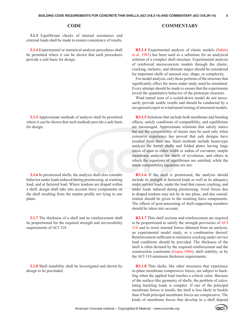**3.1.3** Equilibrium checks of internal resistances and external loads shall be made to ensure consistency of results.

<span id="page-6-5"></span>**[3.1.4](#page-6-0)** Experimental or numerical analysis procedures shall be permitted where it can be shown that such procedures provide a safe basis for design.

**[3.1.5](#page-6-1)** Approximate methods of analysis shall be permitted where it can be shown that such methods provide a safe basis for design.

<span id="page-6-6"></span>**[3.1.6](#page-6-2)** In prestressed shells, the analysis shall also consider behavior under loads induced during prestressing, at cracking load, and at factored load. Where tendons are draped within a shell, design shall take into account force components on the shell resulting from the tendon profile not lying in one plane.

<span id="page-6-7"></span>**[3.1.7](#page-6-3)** The thickness of a shell and its reinforcement shall be proportioned for the required strength and serviceability requirements of ACI 318.

<span id="page-6-8"></span>**[3.1.8](#page-6-4)** Shell instability shall be investigated and shown by design to be precluded.

# **CODE COMMENTARY**

<span id="page-6-0"></span>**[R3.1.4](#page-6-5)** Experimental analysis of elastic models [\(Sabnis](#page-13-4) [et al. 1983](#page-13-4)) has been used as a substitute for an analytical solution of a complex shell structure. Experimental analysis of reinforced microconcrete models through the elastic, cracking, inelastic, and ultimate stages should be considered for important shells of unusual size, shape, or complexity.

For model analysis, only those portions of the structure that significantly affect the items under study need be simulated. Every attempt should be made to ensure that the experiments reveal the quantitative behavior of the prototype structure.

Wind tunnel tests of a scaled-down model do not necessarily provide usable results and should be conducted by a recognized expert in wind tunnel testing of structural models.

<span id="page-6-1"></span>**[R3.1.5](#page-6-1)** Solutions that include both membrane and bending effects, satisfy conditions of compatibility, and equilibrium are encouraged. Approximate solutions that satisfy statics but not the compatibility of strains may be used only when extensive experience has proved that safe designs have resulted from their use. Such methods include beam-type analysis for barrel shells and folded plates having large ratios of span to either width or radius of curvature, simple membrane analysis for shells of revolution, and others in which the equations of equilibrium are satisfied, while the strain compatibility equations are not.

<span id="page-6-2"></span>**[R3.1.6](#page-6-6)** If the shell is prestressed, the analysis should include its strength at factored loads as well as its adequacy under service loads, under the load that causes cracking, and under loads induced during prestressing. Axial forces due to draped tendons may not lie in one plane, and due consideration should be given to the resulting force components. The effects of post-tensioning of shell-supporting members should be taken into account.

<span id="page-6-3"></span>**[R3.1.7](#page-6-7)** Thin shell sections and reinforcement are required to be proportioned to satisfy the strength provisions of [ACI](#page-12-1)  [318](#page-12-1) and to resist internal forces obtained from an analysis, an experimental model study, or a combination thereof. Reinforcement sufficient to minimize cracking under service load conditions should be provided. The thickness of the shell is often dictated by the required reinforcement and the construction constraints ([Gupta 1986](#page-13-5)), shell stability, or by the ACI 318 minimum thickness requirements.

<span id="page-6-4"></span>**[R3.1.8](#page-6-8)** Thin shells, like other structures that experience in-plane membrane compressive forces, are subject to buckling when the applied load reaches a critical value. Because of the surface-like geometry of shells, the problem of calculating buckling loads is complex. If one of the principal membrane forces is tensile, the shell is less likely to buckle than if both principal membrane forces are compressive. The kinds of membrane forces that develop in a shell depend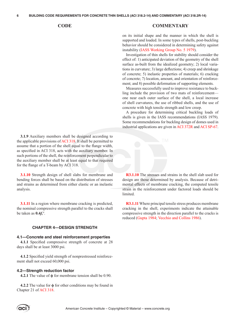<span id="page-7-0"></span>on its initial shape and the manner in which the shell is supported and loaded. In some types of shells, post-buckling behavior should be considered in determining safety against instability ([IASS Working Group No. 5 1979\)](#page-13-1).

Investigation of thin shells for stability should consider the effect of: 1) anticipated deviation of the geometry of the shell surface as-built from the idealized geometry; 2) local variations in curvature; 3) large deflections; 4) creep and shrinkage of concrete; 5) inelastic properties of materials; 6) cracking of concrete; 7) location, amount, and orientation of reinforcement; and 8) possible deformation of supporting elements.

Measures successfully used to improve resistance to buckling include the provision of two mats of reinforcement one near each outer surface of the shell, a local increase of shell curvatures, the use of ribbed shells, and the use of concrete with high tensile strength and low creep.

A procedure for determining critical buckling loads of shells is given in the IASS recommendations (IASS 1979). Some recommendations for buckling design of domes used in industrial applications are given in [ACI 372R](#page-12-4) and [ACI SP-67.](#page-12-11)

**3.1.9** Auxiliary members shall be designed according to the applicable provisions of [ACI 318](#page-12-1). It shall be permitted to assume that a portion of the shell equal to the flange width, as specified in ACI 318, acts with the auxiliary member. In such portions of the shell, the reinforcement perpendicular to the auxiliary member shall be at least equal to that required for the flange of a T-beam by ACI 318.

<span id="page-7-3"></span>**[3.1.10](#page-7-1)** Strength design of shell slabs for membrane and bending forces shall be based on the distribution of stresses and strains as determined from either elastic or an inelastic analysis.

**[3.1.11](#page-7-2)** In a region where membrane cracking is predicted, the nominal compressive strength parallel to the cracks shall be taken as **0.4***fc***′**.

# **CHAPTER 4—DESIGN STRENGTH**

# **4.1—Concrete and steel reinforcement properties**

**4.1.1** Specified compressive strength of concrete at 28 days shall be at least 3000 psi.

**4.1.2** Specified yield strength of nonprestressed reinforcement shall not exceed 60,000 psi.

# **4.2—Strength reduction factor**

**4.2.1** The value of **ϕ** for membrane tension shall be 0.90.

**4.2.2** The value for **ϕ** for other conditions may be found in Chapter 21 of [ACI 318](#page-12-1).

<span id="page-7-1"></span>**[R3.1.10](#page-7-3)** The stresses and strains in the shell slab used for design are those determined by analysis. Because of detrimental effects of membrane cracking, the computed tensile strain in the reinforcement under factored loads should be limited.

<span id="page-7-2"></span>**[R3.1.11](#page-7-2)** Where principal tensile stress produces membrane cracking in the shell, experiments indicate the attainable compressive strength in the direction parallel to the cracks is reduced ([Gupta 1984](#page-13-6); [Vecchio and Collins 1986\)](#page-13-7).

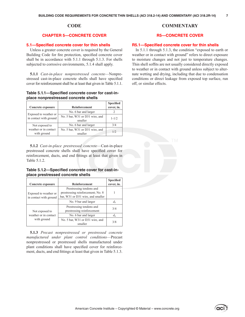# **[CHAPTER 5—CONCRETE COVER](#page-8-1)**

# <span id="page-8-0"></span>**[5.1—Specified concrete cover for thin shells](#page-8-2)**

Unless a greater concrete cover is required by the General Building Code for fire protection, specified concrete cover shall be in accordance with 5.1.1 through 5.1.3. For shells subjected to corrosive environments, 5.1.4 shall apply.

**5.1.1** *Cast-in-place nonprestressed concrete*—Nonprestressed cast-in-place concrete shells shall have specified cover for reinforcement shall be at least that given in Table 5.1.1.

# **Table 5.1.1—Specified concrete cover for cast-inplace nonprestressed concrete shells**

| Concrete exposure                                      | Reinforcement                              | <b>Specified</b><br>cover, in. |
|--------------------------------------------------------|--------------------------------------------|--------------------------------|
| Exposed to weather or<br>in contact with ground        | No. 6 bar and larger                       |                                |
|                                                        | No. 5 bar, W31 or D31 wire, and<br>smaller | $1 - 1/2$                      |
| Not exposed to<br>weather or in contact<br>with ground | No. 6 bar and larger                       | 3/4                            |
|                                                        | No. 5 bar, W31 or D31 wire, and<br>smaller | 1/2                            |

**5.1.2** *Cast-in-place prestressed concrete*—Cast-in-place prestressed concrete shells shall have specified cover for reinforcement, ducts, and end fittings at least that given in Table 5.1.2.

# **Table 5.1.2—Specified concrete cover for cast-inplace prestressed concrete shells**

| Concrete exposure                                      | <b>Reinforcement</b>                                                                               | <b>Specified</b><br>cover, in. |
|--------------------------------------------------------|----------------------------------------------------------------------------------------------------|--------------------------------|
| Exposed to weather or<br>in contact with ground        | Prestressing tendons and<br>prestressing reinforcement; No. 8<br>bar, W31 or D31 wire, and smaller |                                |
|                                                        | No. 9 bar and larger                                                                               | $d_h$                          |
| Not exposed to<br>weather or in contact<br>with ground | Prestressing tendons and<br>prestressing reinforcement                                             | 3/4                            |
|                                                        | No. 6 bar and larger                                                                               | $d_h$                          |
|                                                        | No. 5 bar, W31 or D31 wire, and<br>smaller                                                         | 3/8                            |

**5.1.3** *Precast nonprestressed or prestressed concrete manufactured under plant control conditions*—Precast nonprestressed or prestressed shells manufactured under plant conditions shall have specified cover for reinforcement, ducts, and end fittings at least that given in Table 5.1.3.

# **CODE COMMENTARY**

# <span id="page-8-4"></span><span id="page-8-3"></span><span id="page-8-2"></span><span id="page-8-1"></span>**[R5—CONCRETE COVER](#page-8-3)**

### **[R5.1—Specified concrete cover for thin shells](#page-8-4)**

In 5.1.1 through 5.1.3, the condition "exposed to earth or weather or in contact with ground" refers to direct exposure to moisture changes and not just to temperature changes. Thin shell soffits are not usually considered directly exposed to weather or in contact with ground unless subject to alternate wetting and drying, including that due to condensation conditions or direct leakage from exposed top surface, run off, or similar effects.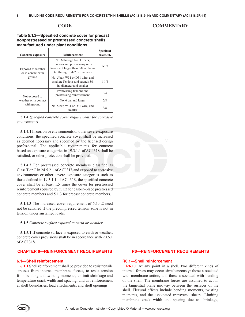<span id="page-9-0"></span>**Table 5.1.3—Specified concrete cover for precast nonprestressed or prestressed concrete shells manufactured under plant conditions**

| Concrete exposure                                      | <b>Reinforcement</b>                                                                                                                    | <b>Specified</b><br>cover, in. |
|--------------------------------------------------------|-----------------------------------------------------------------------------------------------------------------------------------------|--------------------------------|
| Exposed to weather<br>or in contact with<br>ground     | No. 6 through No. 11 bars;<br>Tendons and prestressing rein-<br>forcement larger than 5/8 in. diam-<br>eter through 1-1/2 in. diameter. | $1 - 1/2$                      |
|                                                        | No. 5 bar, W31 or D31 wire, and<br>smaller; Tendons and strands 5/8<br>in, diameter and smaller                                         | $1 - 1/4$                      |
| Not exposed to<br>weather or in contact<br>with ground | Prestressing tendons and<br>prestressing reinforcement                                                                                  | 3/4                            |
|                                                        | No. 6 bar and larger                                                                                                                    | 5/8                            |
|                                                        | No. 5 bar, W31 or D31 wire, and<br>smaller                                                                                              | 3/8                            |

**5.1.4** *Specified concrete cover requirements for corrosive environments*

**5.1.4.1** In corrosive environments or other severe exposure conditions, the specified concrete cover shall be increased as deemed necessary and specified by the licensed design professional. The applicable requirements for concrete based on exposure categories in 19.3.1.1 of ACI 318 shall be satisfied, or other protection shall be provided.

**5.1.4.2** For prestressed concrete members classified as Class T or C in 24.5.2.1 of ACI 318 and exposed to corrosive environments or other severe exposure categories such as those defined in 19.3.1.1 of ACI 318, the specified concrete cover shall be at least 1.5 times the cover for prestressed reinforcement required by 5.1.2 for cast-in-place prestressed concrete members and 5.1.3 for precast concrete members.

**5.1.4.3** The increased cover requirement of 5.1.4.2 need not be satisfied if the precompressed tension zone is not in tension under sustained loads.

# **5.1.5** *Concrete surface exposed to earth or weather*

**5.1.5.1** If concrete surface is exposed to earth or weather, concrete cover provisions shall be in accordance with 20.6.1 of ACI 318.

# **[CHAPTER 6—REINFORCEMENT REQUIREMENTS](#page-9-1)**

## **[6.1—Shell reinforcement](#page-9-2)**

**[6.1.1](#page-9-2)** Shell reinforcement shall be provided to resist tensile stresses from internal membrane forces, to resist tension from bending and twisting moments, to limit shrinkage and temperature crack width and spacing, and as reinforcement at shell boundaries, load attachments, and shell openings.

# <span id="page-9-3"></span><span id="page-9-2"></span><span id="page-9-1"></span>**[R6—REINFORCEMENT REQUIREMENTS](#page-9-3)**

# <span id="page-9-4"></span>**[R6.1—Shell reinforcement](#page-9-4)**

**[R6.1.1](#page-9-4)** At any point in a shell, two different kinds of internal forces may occur simultaneously: those associated with membrane action, and those associated with bending of the shell. The membrane forces are assumed to act in the tangential plane midway between the surfaces of the shell. Flexural effects include bending moments, twisting moments, and the associated transverse shears. Limiting membrane crack width and spacing due to shrinkage,

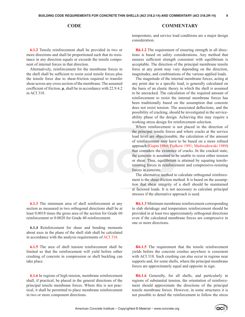<span id="page-10-4"></span>**[6.1.2](#page-10-0)** Tensile reinforcement shall be provided in two or more directions and shall be proportioned such that its resistance in any direction equals or exceeds the tensile component of internal forces in that direction.

Alternatively, reinforcement for the membrane forces in the shell shall be sufficient to resist axial tensile forces plus the tensile force due to shear-friction required to transfer shear across any cross section of the membrane. The assumed coefficient of friction, **μ**, shall be in accordance with 22.9.4.2 in ACI 318.



<span id="page-10-5"></span>**[6.1.3](#page-10-1)** The minimum area of shell reinforcement at any section as measured in two orthogonal directions shall be at least 0.0018 times the gross area of the section for Grade 60 reinforcement or 0.0020 for Grade 40 reinforcement.

**6.1.4** Reinforcement for shear and bending moments about axes in the plane of the shell slab shall be calculated in accordance with the analysis requirements of [ACI 318](#page-12-1).

<span id="page-10-6"></span>**[6.1.5](#page-10-2)** The area of shell tension reinforcement shall be limited so that the reinforcement will yield before either crushing of concrete in compression or shell buckling can take place.

<span id="page-10-7"></span>**[6.1.6](#page-10-3)** In regions of high tension, membrane reinforcement shall, if practical, be placed in the general directions of the principal tensile membrane forces. Where this is not practical, it shall be permitted to place membrane reinforcement in two or more component directions.

# **CODE COMMENTARY**

temperature, and service load conditions are a major design consideration.

<span id="page-10-0"></span>**[R6.1.2](#page-10-4)** The requirement of ensuring strength in all directions is based on safety considerations. Any method that ensures sufficient strength consistent with equilibrium is acceptable. The direction of the principal membrane tensile force at any point may vary depending on the direction, magnitudes, and combinations of the various applied loads.

The magnitude of the internal membrane forces, acting at any point due to a specific load, is generally calculated on the basis of an elastic theory in which the shell is assumed to be uncracked. The calculation of the required amount of reinforcement to resist the internal membrane forces has been traditionally based on the assumption that concrete does not resist tension. The associated deflections, and the possibility of cracking, should be investigated in the serviceability phase of the design. Achieving this may require a working stress design for reinforcement selection.

Where reinforcement is not placed in the direction of the principal tensile forces and where cracks at the service load level are objectionable, the calculation of the amount of reinforcement may have to be based on a more refined approach ([Gupta 1984](#page-13-6); [Fialkow 1991](#page-13-8); [Medwadowski 1989](#page-13-9)) that considers the existence of cracks. In the cracked state, the concrete is assumed to be unable to resist either tension or shear. Thus, equilibrium is attained by equating tensileresisting forces in reinforcement and compressive-resisting forces in concrete.

The alternative method to calculate orthogonal reinforcement is the shear-friction method. It is based on the assumption that shear integrity of a shell should be maintained at factored loads. It is not necessary to calculate principal stresses if the alternative approach is used.

<span id="page-10-1"></span>**[R6.1.3](#page-10-5)** Minimum membrane reinforcement corresponding to slab shrinkage and temperature reinforcement should be provided in at least two approximately orthogonal directions even if the calculated membrane forces are compressive in one or more directions.

<span id="page-10-2"></span>**[R6.1.5](#page-10-6)** The requirement that the tensile reinforcement yields before the concrete crushes anywhere is consistent with ACI 318. Such crushing can also occur in regions near supports and, for some shells, where the principal membrane forces are approximately equal and opposite in sign.

<span id="page-10-3"></span>**[R6.1.6](#page-10-7)** Generally, for all shells, and particularly in regions of substantial tension, the orientation of reinforcement should approximate the directions of the principal tensile membrane forces. However, in some structures it is not possible to detail the reinforcement to follow the stress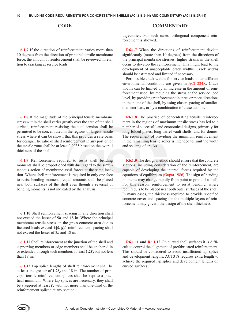<span id="page-11-4"></span>**[6.1.7](#page-11-0)** If the direction of reinforcement varies more than 10 degrees from the direction of principal tensile membrane force, the amount of reinforcement shall be reviewed in relation to cracking at service loads.

<span id="page-11-5"></span>**[6.1.8](#page-11-1)** If the magnitude of the principal tensile membrane stress within the shell varies greatly over the area of the shell surface, reinforcement resisting the total tension shall be permitted to be concentrated in the regions of largest tensile stress where it can be shown that this provides a safe basis for design. The ratio of shell reinforcement in any portion of the tensile zone shall be at least 0.0035 based on the overall thickness of the shell.

<span id="page-11-6"></span>**[6.1.9](#page-11-2)** Reinforcement required to resist shell bending moments shall be proportioned with due regard to the simultaneous action of membrane axial forces at the same location. Where shell reinforcement is required in only one face to resist bending moments, equal amounts shall be placed near both surfaces of the shell even though a reversal of bending moments is not indicated by the analysis.

**6.1.10** Shell reinforcement spacing in any direction shall not exceed the lesser of **5***h* and 18 in. Where the principal membrane tensile stress on the gross concrete area due to factored loads exceed **4ϕλ√***fc***′**, reinforcement spacing shall not exceed the lesser of 3*h* and 18 in.

<span id="page-11-7"></span>**[6.1.11](#page-11-3)** Shell reinforcement at the junction of the shell and supporting members or edge members shall be anchored in or extended through such members at least **1.2***ℓd* but not less than 18 in.

<span id="page-11-8"></span>**[6.1.12](#page-11-3)** Lap splice lengths of shell reinforcement shall be at least the greater of **1.2***ℓd* and 18 in. The number of principal tensile reinforcement splices shall be kept to a practical minimum. Where lap splices are necessary, they shall be staggered at least *ℓd* with not more than one-third of the reinforcement spliced at any section.

trajectories. For such cases, orthogonal component reinforcement is allowed.

<span id="page-11-0"></span>**[R6.1.7](#page-11-4)** When the directions of reinforcement deviate significantly (more than 10 degrees) from the directions of the principal membrane stresses, higher strains in the shell occur to develop the reinforcement. This might lead to the development of unacceptable crack widths. Crack widths should be estimated and limited if necessary.

Permissible crack widths for service loads under different environmental conditions are given in [ACI 224R.](#page-12-12) Crack widths can be limited by an increase in the amount of reinforcement used, by reducing the stress at the service load level, by providing reinforcement in three or more directions in the plane of the shell, by using closer spacing of smallerdiameter bars, or by a combination of these actions.

<span id="page-11-1"></span>**[R6.1.8](#page-11-5)** The practice of concentrating tensile reinforcement in the regions of maximum tensile stress has led to a number of successful and economical designs, primarily for long folded plates, long barrel vault shells, and for domes. The requirement of providing the minimum reinforcement in the remaining tensile zones is intended to limit the width and spacing of cracks.

<span id="page-11-2"></span>**[R6.1.9](#page-11-6)** The design method should ensure that the concrete sections, including consideration of the reinforcement, are capable of developing the internal forces required by the equations of equilibrium ([Gupta 1986\)](#page-13-5). The sign of bending moments may change rapidly from point to point of a shell. For this reason, reinforcement to resist bending, where required, is to be placed near both outer surfaces of the shell. In many cases, the thickness required to provide specified concrete cover and spacing for the multiple layers of reinforcement may govern the design of the shell thickness.

<span id="page-11-3"></span>**[R6.1.11](#page-11-7) and [R6.1.12](#page-11-8)** On curved shell surfaces it is difficult to control the alignment of prefabricated reinforcement. This should be considered to avoid insufficient lap splice and development lengths. ACI 318 requires extra length to achieve the required lap splice and development lengths on curved surfaces.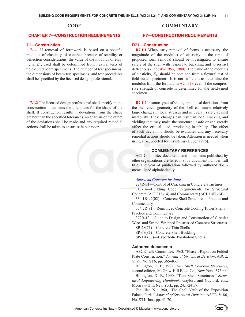# <span id="page-12-0"></span>**[CHAPTER 7—CONSTRUCTION R](#page-12-13)EQUIREMENTS**

# **[7.1—Construction](#page-12-14)**

<span id="page-12-19"></span>**[7.1.1](#page-12-15)** If removal of formwork is based on a specific modulus of elasticity of concrete because of stability or deflection considerations, the value of the modulus of elasticity, *Ec*, used shall be determined from flexural tests of field-cured beam specimens. The number of test specimens, the dimensions of beam test specimens, and test procedures shall be specified by the licensed design professional.

<span id="page-12-20"></span>**[7.1.2](#page-12-16)** The licensed design professional shall specify in the construction documents the tolerances for the shape of the shell. If construction results in deviations from the shape greater than the specified tolerances, an analysis of the effect of the deviations shall be made and any required remedial actions shall be taken to ensure safe behavior.

# <span id="page-12-18"></span>**CODE COMMENTARY**

# <span id="page-12-17"></span><span id="page-12-15"></span><span id="page-12-14"></span><span id="page-12-13"></span>**[R7—CONSTRUCTION R](#page-12-17)EQUIREMENTS**

# **[R7.1—Construction](#page-12-18)**

**[R7.1.1](#page-12-19)** When early removal of forms is necessary, the magnitude of the modulus of elasticity at the time of proposed form removal should be investigated to ensure safety of the shell with respect to buckling, and to restrict deflections [\(Tedesko 1953](#page-13-10), [1980\)](#page-13-0). The value of the modulus of elasticity, *Ec*, should be obtained from a flexural test of field-cured specimens. It is not sufficient to determine the modulus from the formula in [ACI 318](#page-12-1) even if the compressive strength of concrete is determined for the field-cured specimen.

<span id="page-12-16"></span>**[R7.1.2](#page-12-20)** In some types of shells, small local deviations from the theoretical geometry of the shell can cause relatively large changes in local stresses and in overall safety against instability. These changes can result in local cracking and yielding that may make the structure unsafe or can greatly affect the critical load, producing instability. The effect of such deviations should be evaluated and any necessary remedial actions should be taken. Attention is needed when using air-supported form systems (Huber 1986).

# **COMMENTARY REFERENCES**

ACI Committee documents and documents published by other organizations are listed first by document number, full title, and year of publication followed by authored documents listed alphabetically.

# <span id="page-12-12"></span>*[American Concrete Institute](http://www.concrete.org)*

<span id="page-12-1"></span>224R-01—Control of Cracking in Concrete Structures 318-14—Building Code Requirements for Structural Concrete (ACI 318-14) and Commentary (ACI 318R-14)

<span id="page-12-2"></span>334.1R-92(02)—Concrete Shell Structures – Practice and Commentary

<span id="page-12-3"></span>334.2R-91—Reinforced Concrete Cooling Tower Shells – Practice and Commentary

<span id="page-12-4"></span>372R-13—Guide to Design and Construction of Circular Wire- and Strand-Wrapped Prestressed Concrete Structures

<span id="page-12-7"></span>SP-28(71)—Concrete Thin Shells

<span id="page-12-11"></span>SP-67(81)—Concrete Shell Buckling

<span id="page-12-9"></span>SP-110(88)—Hyperbolic Paraboloid Shells

# **Authored documents**

<span id="page-12-6"></span>ASCE Task Committee, 1963, "Phase I Report on Folded Plate Construction," *Journal of Structural Division*, ASCE, V. 89, No. ST6, pp. 365-406.

<span id="page-12-5"></span>Billington, D. P., 1982, *Thin Shell Concrete Structures*, second edition, McGraw-Hill Book Co., New York, 373 pp.

<span id="page-12-10"></span>Billington, D. P., 1990, "Thin Shell Structures," *Structural Engineering Handbook*, Gaylord and Gaylord, eds., McGraw-Hill, New York, pp. 24.1-24.57.

<span id="page-12-8"></span>Esquillan N., 1960, "The Shell Vault of the Exposition Palace, Paris," *Journal of Structural Division*, ASCE, V. 86, No. ST1, Jan., pp. 41-70.

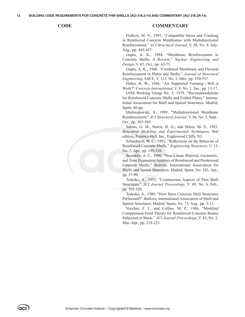<span id="page-13-8"></span>Fialkow, M. N., 1991, "Compatible Stress and Cracking in Reinforced Concrete Membranes with Multidirectional Reinforcement," *ACI Structural Journal*, V. 88, No. 4, July-Aug., pp. 445-457.

<span id="page-13-6"></span>Gupta, A. K., 1984, "Membrane Reinforcement in Concrete Shells: A Review," *Nuclear Engineering and Design*, V. 82, Oct., pp. 63-75.

<span id="page-13-5"></span>Gupta, A. K., 1986, "Combined Membrane and Flexural Reinforcement in Plates and Shells," *Journal of Structural Engineering*, ASCE, V. 112, No. 3, Mar., pp. 550-557.

Huber, R. W., 1986, "Air Supported Forming—Will it Work?" *Concrete International*, V. 8, No. 1, Jan., pp. 13-17.

<span id="page-13-1"></span>IASS Working Group No. 5, 1979, "Recommendations for Reinforced Concrete Shells and Folded Plates," International Association for Shell and Spatial Structures, Madrid, Spain, 66 pp.

<span id="page-13-9"></span>Medwadowski, S., 1989, "Multidirectional Membrane Reinforcement," *ACI Structural Journal*, V. 86, No. 5, Sept.- Oct., pp. 563-569.

<span id="page-13-4"></span>Sabnis, G. M.; Harris, H. G.; and Mirza, M. S., 1983, *Structural Modeling and Experimental Techniques*, first edition, Prentice-Hall, Inc., Englewood Cliffs, NJ.

<span id="page-13-3"></span>Schnobrich, W. C., 1991, "Reflections on the Behavior of Reinforced Concrete Shells," *Engineering Structures*, V. 13, No. 2, Apr., pp. 199-210.

<span id="page-13-2"></span>Scordelis, A. C., 1990, "Non-Linear Material, Geometric, and Time Dependent Analysis of Reinforced and Prestressed Concrete Shells," *Bulletin*, International Association for Shells and Spatial Structures, Madrid, Spain, No. 102, Apr., pp. 57-90.

<span id="page-13-10"></span>Tedesko, A., 1953, "Construction Aspects of Thin Shell Structures," *ACI Journal Proceedings*, V. 49, No. 6, Feb., pp. 505-520.

<span id="page-13-0"></span>Tedesko, A., 1980, "How Have Concrete Shell Structures Performed?" *Bulletin*, International Association of Shell and Spatial Structures, Madrid, Spain, No. 73, Aug., pp. 3-13.

<span id="page-13-7"></span>Vecchio, F. J., and Collins, M. P., 1986, "Modified Compression-Field Theory for Reinforced Concrete Beams Subjected to Shear," *ACI Journal Proceedings*, V. 83, No. 2, Mar.-Apr., pp. 219-223.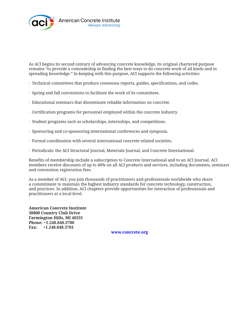

As ACI begins its second century of advancing concrete knowledge, its original chartered purpose remains "to provide a comradeship in finding the best ways to do concrete work of all kinds and in spreading knowledge." In keeping with this purpose, ACI supports the following activities:

- · Technical committees that produce consensus reports, guides, specifications, and codes.
- · Spring and fall conventions to facilitate the work of its committees.
- · Educational seminars that disseminate reliable information on concrete.
- · Certification programs for personnel employed within the concrete industry.
- · Student programs such as scholarships, internships, and competitions.
- · Sponsoring and co-sponsoring international conferences and symposia.
- · Formal coordination with several international concrete related societies.
- · Periodicals: the ACI Structural Journal, Materials Journal, and Concrete International.

Benefits of membership include a subscription to Concrete International and to an ACI Journal. ACI members receive discounts of up to 40% on all ACI products and services, including documents, seminars and convention registration fees.

As a member of ACI, you join thousands of practitioners and professionals worldwide who share a commitment to maintain the highest industry standards for concrete technology, construction, and practices. In addition, ACI chapters provide opportunities for interaction of professionals and practitioners at a local level.

**American Concrete Institute 38800 Country Club Drive Farmington Hills, MI 48331 Phone: +1.248.848.3700 Fax: +1.248.848.3701**

**[www.concrete.org](http://www.concrete.org)**